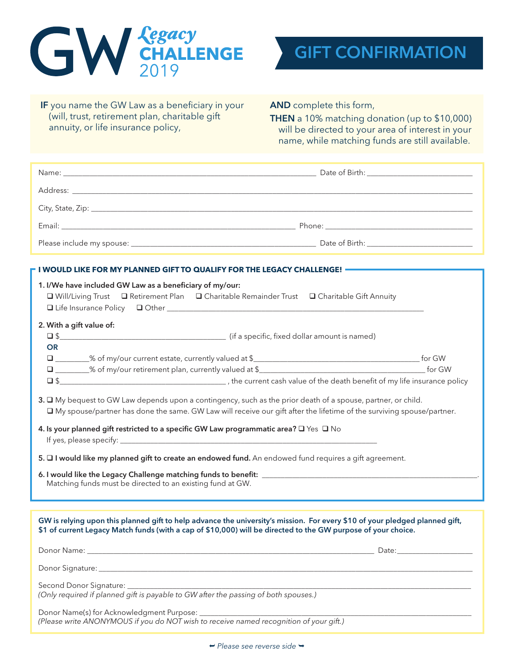



IF you name the GW Law as a beneficiary in your (will, trust, retirement plan, charitable gift annuity, or life insurance policy,

AND complete this form,

THEN a 10% matching donation (up to \$10,000) will be directed to your area of interest in your name, while matching funds are still available.

| - I WOULD LIKE FOR MY PLANNED GIFT TO QUALIFY FOR THE LEGACY CHALLENGE! —                                                                                                                                                                     |                                                                                                       |  |
|-----------------------------------------------------------------------------------------------------------------------------------------------------------------------------------------------------------------------------------------------|-------------------------------------------------------------------------------------------------------|--|
| 1. I/We have included GW Law as a beneficiary of my/our:                                                                                                                                                                                      | □ Will/Living Trust □ Retirement Plan □ Charitable Remainder Trust □ Charitable Gift Annuity          |  |
| 2. With a gift value of:<br><b>OR</b>                                                                                                                                                                                                         |                                                                                                       |  |
|                                                                                                                                                                                                                                               |                                                                                                       |  |
| 3. $\Box$ My bequest to GW Law depends upon a contingency, such as the prior death of a spouse, partner, or child.<br>□ My spouse/partner has done the same. GW Law will receive our gift after the lifetime of the surviving spouse/partner. |                                                                                                       |  |
| 4. Is your planned gift restricted to a specific GW Law programmatic area? $\square$ Yes $\square$ No                                                                                                                                         |                                                                                                       |  |
|                                                                                                                                                                                                                                               | 5. I would like my planned gift to create an endowed fund. An endowed fund requires a gift agreement. |  |
| Matching funds must be directed to an existing fund at GW.                                                                                                                                                                                    |                                                                                                       |  |
|                                                                                                                                                                                                                                               |                                                                                                       |  |
| GW is relying upon this planned gift to help advance the university's mission. For every \$10 of your pledged planned gift,<br>\$1 of current Legacy Match funds (with a cap of \$10,000) will be directed to the GW purpose of your choice.  |                                                                                                       |  |
|                                                                                                                                                                                                                                               | Date: Date:                                                                                           |  |
|                                                                                                                                                                                                                                               |                                                                                                       |  |
|                                                                                                                                                                                                                                               |                                                                                                       |  |
|                                                                                                                                                                                                                                               |                                                                                                       |  |